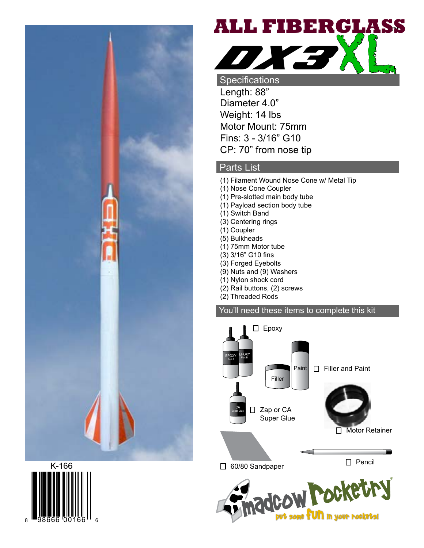





Specifications Length: 88" Diameter 4.0" Weight: 14 lbs Motor Mount: 75mm Fins: 3 - 3/16" G10 CP: 70" from nose tip

## Parts List

- (1) Filament Wound Nose Cone w/ Metal Tip
- (1) Nose Cone Coupler
- (1) Pre-slotted main body tube
- (1) Payload section body tube
- (1) Switch Band
- (3) Centering rings
- (1) Coupler
- (5) Bulkheads
- (1) 75mm Motor tube
- (3) 3/16" G10 fins
- (3) Forged Eyebolts
- (9) Nuts and (9) Washers
- (1) Nylon shock cord
- (2) Rail buttons, (2) screws
- (2) Threaded Rods

## You'll need these items to complete this kit

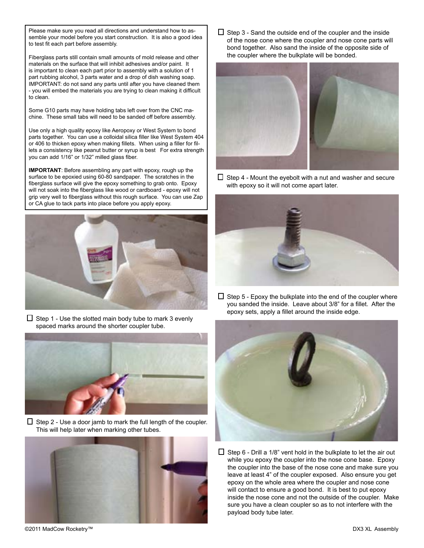Please make sure you read all directions and understand how to assemble your model before you start construction. It is also a good idea to test fit each part before assembly.

Fiberglass parts still contain small amounts of mold release and other materials on the surface that will inhibit adhesives and/or paint. It is important to clean each part prior to assembly with a solution of 1 part rubbing alcohol, 3 parts water and a drop of dish washing soap. IMPORTANT: do not sand any parts until after you have cleaned them - you will embed the materials you are trying to clean making it difficult to clean.

Some G10 parts may have holding tabs left over from the CNC machine. These small tabs will need to be sanded off before assembly.

Use only a high quality epoxy like Aeropoxy or West System to bond parts together. You can use a colloidal silica filler like West System 404 or 406 to thicken epoxy when making fillets. When using a filler for fillets a consistency like peanut butter or syrup is best For extra strength you can add 1/16" or 1/32" milled glass fiber.

**IMPORTANT**: Before assembling any part with epoxy, rough up the surface to be epoxied using 60-80 sandpaper. The scratches in the fiberglass surface will give the epoxy something to grab onto. Epoxy will not soak into the fiberglass like wood or cardboard - epoxy will not grip very well to fiberglass without this rough surface. You can use Zap or CA glue to tack parts into place before you apply epoxy.



 $\Box$  Step 1 - Use the slotted main body tube to mark 3 evenly spaced marks around the shorter coupler tube.



 $\Box$  Step 2 - Use a door jamb to mark the full length of the coupler. This will help later when marking other tubes.



 $\Box$  Step 3 - Sand the outside end of the coupler and the inside of the nose cone where the coupler and nose cone parts will bond together. Also sand the inside of the opposite side of the coupler where the bulkplate will be bonded.



 $\Box$  Step 4 - Mount the eyebolt with a nut and washer and secure with epoxy so it will not come apart later.



 $\Box$  Step 5 - Epoxy the bulkplate into the end of the coupler where you sanded the inside. Leave about 3/8" for a fillet. After the epoxy sets, apply a fillet around the inside edge.



 $\Box$  Step 6 - Drill a 1/8" vent hold in the bulkplate to let the air out while you epoxy the coupler into the nose cone base. Epoxy the coupler into the base of the nose cone and make sure you leave at least 4" of the coupler exposed. Also ensure you get epoxy on the whole area where the coupler and nose cone will contact to ensure a good bond. It is best to put epoxy inside the nose cone and not the outside of the coupler. Make sure you have a clean coupler so as to not interfere with the payload body tube later.

©2011 MadCow Rocketry™ DX3 XL Assembly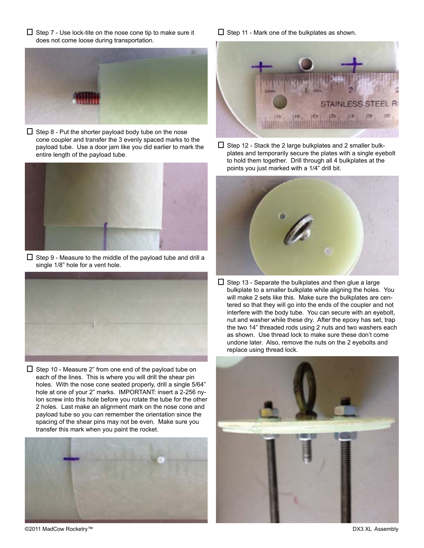$\Box$  Step 7 - Use lock-tite on the nose cone tip to make sure it does not come loose during transportation.



 $\Box$  Step 8 - Put the shorter payload body tube on the nose cone coupler and transfer the 3 evenly spaced marks to the payload tube. Use a door jam like you did earlier to mark the entire length of the payload tube.



 $\square$  Step 9 - Measure to the middle of the payload tube and drill a single 1/8" hole for a vent hole.



 $\Box$  Step 10 - Measure 2" from one end of the payload tube on each of the lines. This is where you will drill the shear pin holes. With the nose cone seated properly, drill a single 5/64" hole at one of your 2" marks. IMPORTANT: insert a 2-256 nylon screw into this hole before you rotate the tube for the other 2 holes. Last make an alignment mark on the nose cone and payload tube so you can remember the orientation since the spacing of the shear pins may not be even. Make sure you transfer this mark when you paint the rocket.



 $\Box$  Step 11 - Mark one of the bulkplates as shown.



 $\square$  Step 12 - Stack the 2 large bulkplates and 2 smaller bulkplates and temporarily secure the plates with a single eyebolt to hold them together. Drill through all 4 bulkplates at the points you just marked with a 1/4" drill bit.



 $\Box$  Step 13 - Separate the bulkplates and then glue a large bulkplate to a smaller bulkplate while aligning the holes. You will make 2 sets like this. Make sure the bulkplates are centered so that they will go into the ends of the coupler and not interfere with the body tube. You can secure with an eyebolt, nut and washer while these dry. After the epoxy has set, trap the two 14" threaded rods using 2 nuts and two washers each as shown. Use thread lock to make sure these don't come undone later. Also, remove the nuts on the 2 eyebolts and replace using thread lock.



©2011 MadCow Rocketry™ DX3 XL Assembly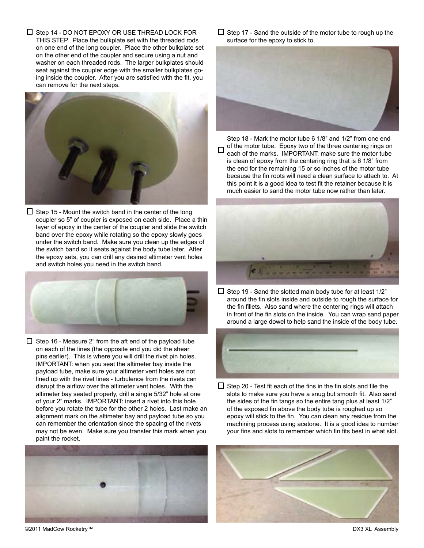$\Box$  Step 14 - DO NOT EPOXY OR USE THREAD LOCK FOR THIS STEP. Place the bulkplate set with the threaded rods on one end of the long coupler. Place the other bulkplate set on the other end of the coupler and secure using a nut and washer on each threaded rods. The larger bulkplates should seat against the coupler edge with the smaller bulkplates going inside the coupler. After you are satisfied with the fit, you can remove for the next steps.



 $\Box$  Step 15 - Mount the switch band in the center of the long coupler so 5" of coupler is exposed on each side. Place a thin layer of epoxy in the center of the coupler and slide the switch band over the epoxy while rotating so the epoxy slowly goes under the switch band. Make sure you clean up the edges of the switch band so it seats against the body tube later. After the epoxy sets, you can drill any desired altimeter vent holes and switch holes you need in the switch band.



 $\Box$  Step 16 - Measure 2" from the aft end of the payload tube on each of the lines (the opposite end you did the shear pins earlier). This is where you will drill the rivet pin holes. IMPORTANT: when you seat the altimeter bay inside the payload tube, make sure your altimeter vent holes are not lined up with the rivet lines - turbulence from the rivets can disrupt the airflow over the altimeter vent holes. With the altimeter bay seated properly, drill a single 5/32" hole at one of your 2" marks. IMPORTANT: insert a rivet into this hole before you rotate the tube for the other 2 holes. Last make an alignment mark on the altimeter bay and payload tube so you can remember the orientation since the spacing of the rivets may not be even. Make sure you transfer this mark when you paint the rocket.



 $\Box$  Step 17 - Sand the outside of the motor tube to rough up the surface for the epoxy to stick to.



Step 18 - Mark the motor tube 6 1/8" and 1/2" from one end of the motor tube. Epoxy two of the three centering rings on each of the marks. IMPORTANT: make sure the motor tube is clean of epoxy from the centering ring that is 6 1/8" from the end for the remaining 15 or so inches of the motor tube because the fin roots will need a clean surface to attach to. At this point it is a good idea to test fit the retainer because it is much easier to sand the motor tube now rather than later.



 $\Box$  Step 19 - Sand the slotted main body tube for at least 1/2" around the fin slots inside and outside to rough the surface for the fin fillets. Also sand where the centering rings will attach in front of the fin slots on the inside. You can wrap sand paper around a large dowel to help sand the inside of the body tube.



 $\Box$  Step 20 - Test fit each of the fins in the fin slots and file the slots to make sure you have a snug but smooth fit. Also sand the sides of the fin tangs so the entire tang plus at least 1/2" of the exposed fin above the body tube is roughed up so epoxy will stick to the fin. You can clean any residue from the machining process using acetone. It is a good idea to number your fins and slots to remember which fin fits best in what slot.



©2011 MadCow Rocketry™ DX3 XL Assembly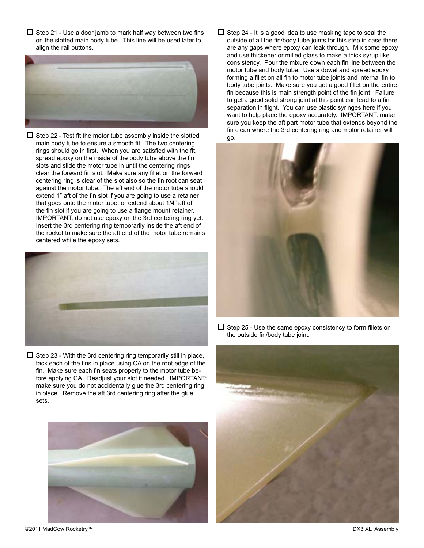$\Box$  Step 21 - Use a door jamb to mark half way between two fins on the slotted main body tube. This line will be used later to align the rail buttons.



 $\square$  Step 22 - Test fit the motor tube assembly inside the slotted main body tube to ensure a smooth fit. The two centering rings should go in first. When you are satisfied with the fit, spread epoxy on the inside of the body tube above the fin slots and slide the motor tube in until the centering rings clear the forward fin slot. Make sure any fillet on the forward centering ring is clear of the slot also so the fin root can seat against the motor tube. The aft end of the motor tube should extend 1" aft of the fin slot if you are going to use a retainer that goes onto the motor tube, or extend about 1/4" aft of the fin slot if you are going to use a flange mount retainer. IMPORTANT: do not use epoxy on the 3rd centering ring yet. Insert the 3rd centering ring temporarily inside the aft end of the rocket to make sure the aft end of the motor tube remains centered while the epoxy sets.



 $\Box$  Step 23 - With the 3rd centering ring temporarily still in place, tack each of the fins in place using CA on the root edge of the fin. Make sure each fin seats properly to the motor tube before applying CA. Readjust your slot if needed. IMPORTANT: make sure you do not accidentally glue the 3rd centering ring in place. Remove the aft 3rd centering ring after the glue sets.



 $\Box$  Step 24 - It is a good idea to use masking tape to seal the outside of all the fin/body tube joints for this step in case there are any gaps where epoxy can leak through. Mix some epoxy and use thickener or milled glass to make a thick syrup like consistency. Pour the mixure down each fin line between the motor tube and body tube. Use a dowel and spread epoxy forming a fillet on all fin to motor tube joints and internal fin to body tube joints. Make sure you get a good fillet on the entire fin because this is main strength point of the fin joint. Failure to get a good solid strong joint at this point can lead to a fin separation in flight. You can use plastic syringes here if you want to help place the epoxy accurately. IMPORTANT: make sure you keep the aft part motor tube that extends beyond the fin clean where the 3rd centering ring and motor retainer will go.



 $\square$  Step 25 - Use the same epoxy consistency to form fillets on the outside fin/body tube joint.



©2011 MadCow Rocketry™ DX3 XL Assembly